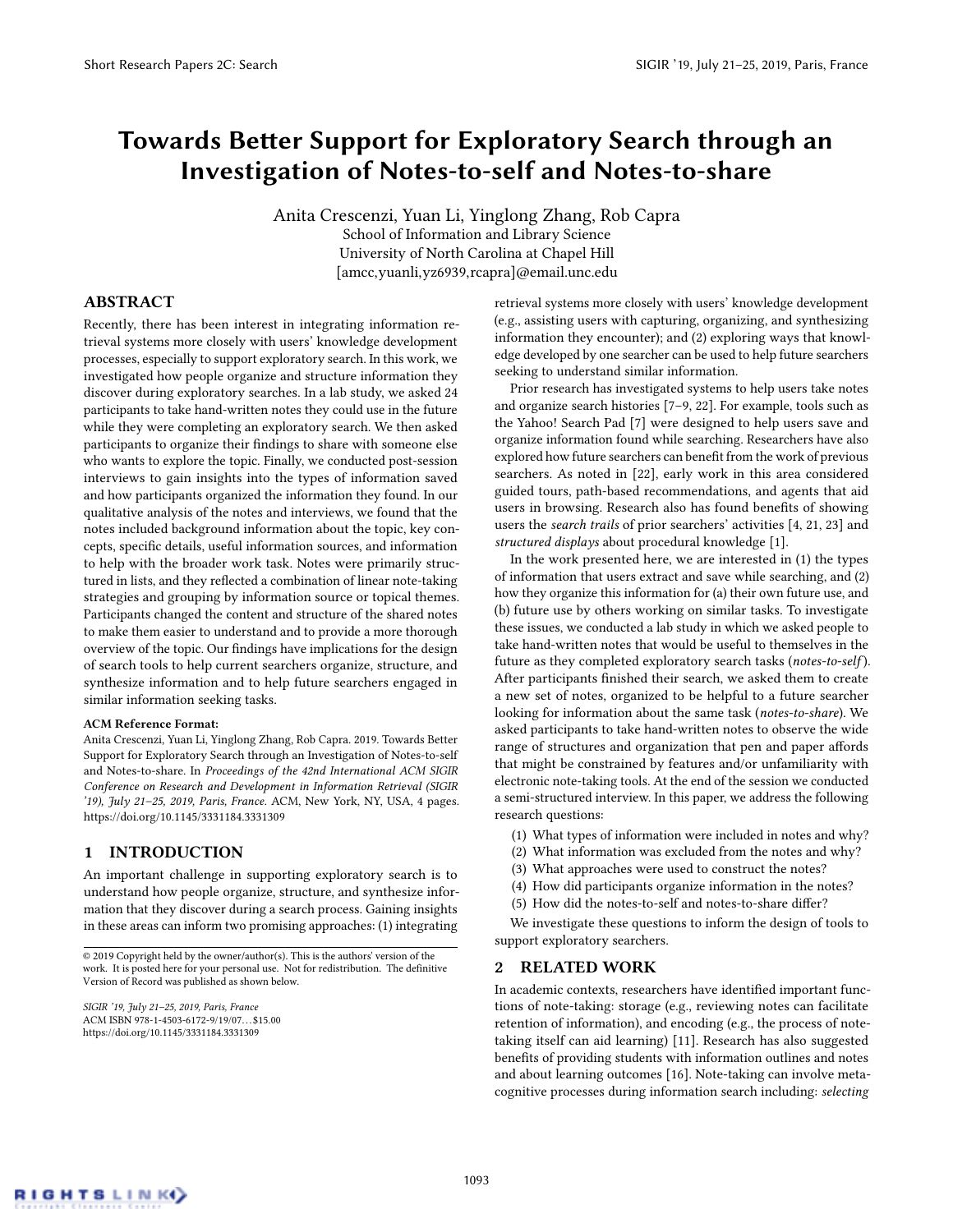# Towards Better Support for Exploratory Search through an Investigation of Notes-to-self and Notes-to-share

Anita Crescenzi, Yuan Li, Yinglong Zhang, Rob Capra School of Information and Library Science University of North Carolina at Chapel Hill [amcc,yuanli,yz6939,rcapra]@email.unc.edu

## ABSTRACT

Recently, there has been interest in integrating information retrieval systems more closely with users' knowledge development processes, especially to support exploratory search. In this work, we investigated how people organize and structure information they discover during exploratory searches. In a lab study, we asked 24 participants to take hand-written notes they could use in the future while they were completing an exploratory search. We then asked participants to organize their findings to share with someone else who wants to explore the topic. Finally, we conducted post-session interviews to gain insights into the types of information saved and how participants organized the information they found. In our qualitative analysis of the notes and interviews, we found that the notes included background information about the topic, key concepts, specific details, useful information sources, and information to help with the broader work task. Notes were primarily structured in lists, and they reflected a combination of linear note-taking strategies and grouping by information source or topical themes. Participants changed the content and structure of the shared notes to make them easier to understand and to provide a more thorough overview of the topic. Our findings have implications for the design of search tools to help current searchers organize, structure, and synthesize information and to help future searchers engaged in similar information seeking tasks.

#### ACM Reference Format:

Anita Crescenzi, Yuan Li, Yinglong Zhang, Rob Capra. 2019. Towards Better Support for Exploratory Search through an Investigation of Notes-to-self and Notes-to-share. In Proceedings of the 42nd International ACM SIGIR Conference on Research and Development in Information Retrieval (SIGIR '19), July 21–25, 2019, Paris, France. ACM, New York, NY, USA, [4](#page-3-0) pages. <https://doi.org/10.1145/3331184.3331309>

## 1 INTRODUCTION

An important challenge in supporting exploratory search is to understand how people organize, structure, and synthesize information that they discover during a search process. Gaining insights in these areas can inform two promising approaches: (1) integrating

© 2019 Copyright held by the owner/author(s). This is the authors' version of the work. It is posted here for your personal use. Not for redistribution. The definitive Version of Record was published as shown below.

SIGIR '19, July 21–25, 2019, Paris, France ACM ISBN 978-1-4503-6172-9/19/07. . . \$15.00 <https://doi.org/10.1145/3331184.3331309>

retrieval systems more closely with users' knowledge development (e.g., assisting users with capturing, organizing, and synthesizing information they encounter); and (2) exploring ways that knowledge developed by one searcher can be used to help future searchers seeking to understand similar information.

Prior research has investigated systems to help users take notes and organize search histories [\[7–](#page-3-1)[9,](#page-3-2) [22\]](#page-3-3). For example, tools such as the Yahoo! Search Pad [\[7\]](#page-3-1) were designed to help users save and organize information found while searching. Researchers have also explored how future searchers can benefit from the work of previous searchers. As noted in [\[22\]](#page-3-3), early work in this area considered guided tours, path-based recommendations, and agents that aid users in browsing. Research also has found benefits of showing users the search trails of prior searchers' activities [\[4,](#page-3-4) [21,](#page-3-5) [23\]](#page-3-6) and structured displays about procedural knowledge [\[1\]](#page-3-7).

In the work presented here, we are interested in (1) the types of information that users extract and save while searching, and (2) how they organize this information for (a) their own future use, and (b) future use by others working on similar tasks. To investigate these issues, we conducted a lab study in which we asked people to take hand-written notes that would be useful to themselves in the future as they completed exploratory search tasks (notes-to-self). After participants finished their search, we asked them to create a new set of notes, organized to be helpful to a future searcher looking for information about the same task (notes-to-share). We asked participants to take hand-written notes to observe the wide range of structures and organization that pen and paper affords that might be constrained by features and/or unfamiliarity with electronic note-taking tools. At the end of the session we conducted a semi-structured interview. In this paper, we address the following research questions:

- (1) What types of information were included in notes and why?
- (2) What information was excluded from the notes and why?
- (3) What approaches were used to construct the notes?
- (4) How did participants organize information in the notes?
- (5) How did the notes-to-self and notes-to-share differ?

We investigate these questions to inform the design of tools to support exploratory searchers.

## 2 RELATED WORK

In academic contexts, researchers have identified important functions of note-taking: storage (e.g., reviewing notes can facilitate retention of information), and encoding (e.g., the process of notetaking itself can aid learning) [\[11\]](#page-3-8). Research has also suggested benefits of providing students with information outlines and notes and about learning outcomes [\[16\]](#page-3-9). Note-taking can involve metacognitive processes during information search including: selecting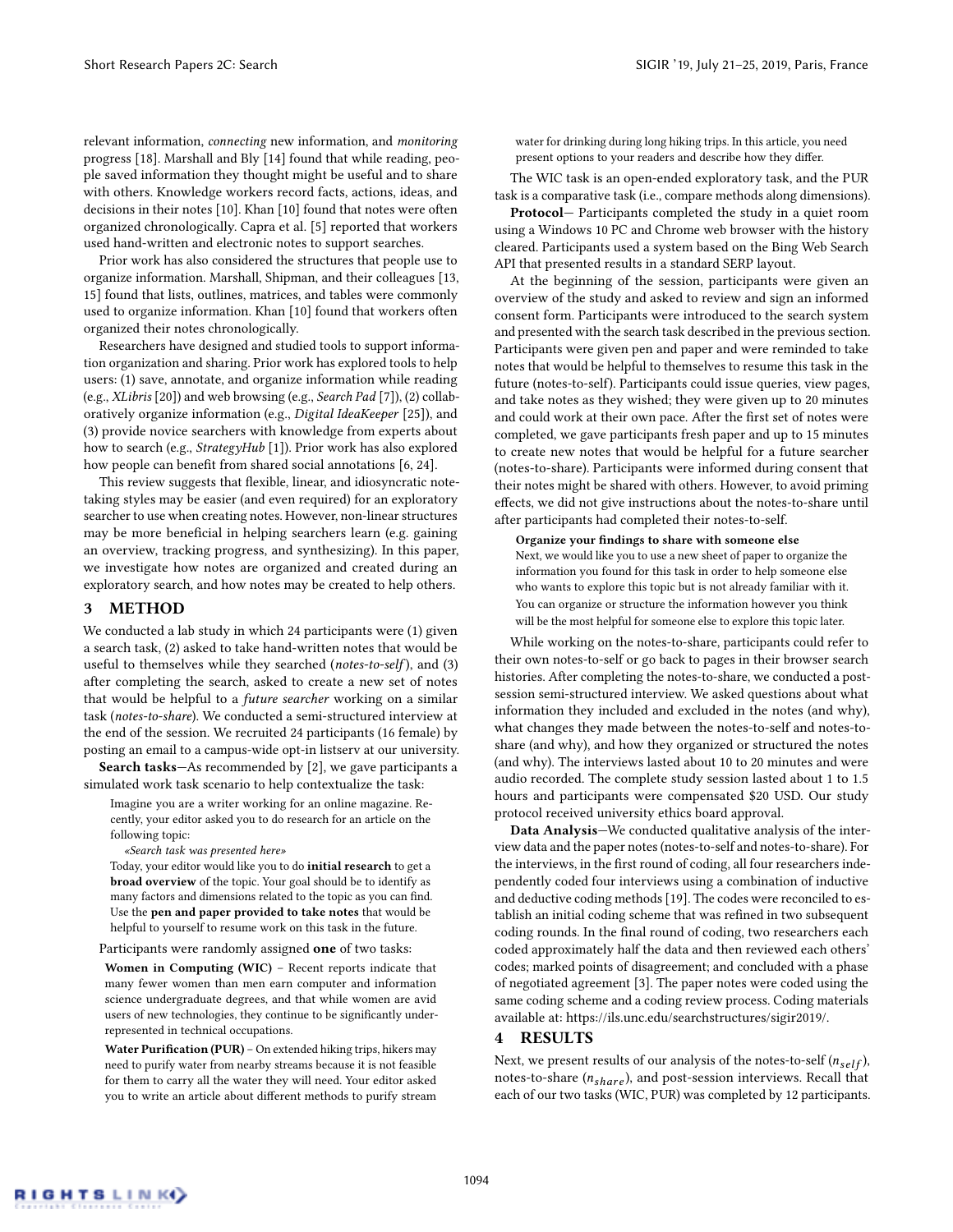relevant information, connecting new information, and monitoring progress [\[18\]](#page-3-10). Marshall and Bly [\[14\]](#page-3-11) found that while reading, people saved information they thought might be useful and to share with others. Knowledge workers record facts, actions, ideas, and decisions in their notes [\[10\]](#page-3-12). Khan [\[10\]](#page-3-12) found that notes were often organized chronologically. Capra et al. [\[5\]](#page-3-13) reported that workers used hand-written and electronic notes to support searches.

Prior work has also considered the structures that people use to organize information. Marshall, Shipman, and their colleagues [\[13,](#page-3-14) [15\]](#page-3-15) found that lists, outlines, matrices, and tables were commonly used to organize information. Khan [\[10\]](#page-3-12) found that workers often organized their notes chronologically.

Researchers have designed and studied tools to support information organization and sharing. Prior work has explored tools to help users: (1) save, annotate, and organize information while reading (e.g., XLibris [\[20\]](#page-3-16)) and web browsing (e.g., Search Pad [\[7\]](#page-3-1)), (2) collaboratively organize information (e.g., Digital IdeaKeeper [\[25\]](#page-3-17)), and (3) provide novice searchers with knowledge from experts about how to search (e.g., StrategyHub [\[1\]](#page-3-7)). Prior work has also explored how people can benefit from shared social annotations [\[6,](#page-3-18) [24\]](#page-3-19).

This review suggests that flexible, linear, and idiosyncratic notetaking styles may be easier (and even required) for an exploratory searcher to use when creating notes. However, non-linear structures may be more beneficial in helping searchers learn (e.g. gaining an overview, tracking progress, and synthesizing). In this paper, we investigate how notes are organized and created during an exploratory search, and how notes may be created to help others.

## 3 METHOD

We conducted a lab study in which 24 participants were (1) given a search task, (2) asked to take hand-written notes that would be useful to themselves while they searched (notes-to-self), and (3) after completing the search, asked to create a new set of notes that would be helpful to a future searcher working on a similar task (notes-to-share). We conducted a semi-structured interview at the end of the session. We recruited 24 participants (16 female) by posting an email to a campus-wide opt-in listserv at our university.

Search tasks—As recommended by [\[2\]](#page-3-20), we gave participants a simulated work task scenario to help contextualize the task:

Imagine you are a writer working for an online magazine. Recently, your editor asked you to do research for an article on the following topic:

«Search task was presented here»

Today, your editor would like you to do initial research to get a broad overview of the topic. Your goal should be to identify as many factors and dimensions related to the topic as you can find. Use the pen and paper provided to take notes that would be helpful to yourself to resume work on this task in the future.

Participants were randomly assigned one of two tasks:

Women in Computing (WIC) – Recent reports indicate that many fewer women than men earn computer and information science undergraduate degrees, and that while women are avid users of new technologies, they continue to be significantly underrepresented in technical occupations.

Water Purification (PUR) – On extended hiking trips, hikers may need to purify water from nearby streams because it is not feasible for them to carry all the water they will need. Your editor asked you to write an article about different methods to purify stream water for drinking during long hiking trips. In this article, you need present options to your readers and describe how they differ.

The WIC task is an open-ended exploratory task, and the PUR task is a comparative task (i.e., compare methods along dimensions).

Protocol— Participants completed the study in a quiet room using a Windows 10 PC and Chrome web browser with the history cleared. Participants used a system based on the Bing Web Search API that presented results in a standard SERP layout.

At the beginning of the session, participants were given an overview of the study and asked to review and sign an informed consent form. Participants were introduced to the search system and presented with the search task described in the previous section. Participants were given pen and paper and were reminded to take notes that would be helpful to themselves to resume this task in the future (notes-to-self). Participants could issue queries, view pages, and take notes as they wished; they were given up to 20 minutes and could work at their own pace. After the first set of notes were completed, we gave participants fresh paper and up to 15 minutes to create new notes that would be helpful for a future searcher (notes-to-share). Participants were informed during consent that their notes might be shared with others. However, to avoid priming effects, we did not give instructions about the notes-to-share until after participants had completed their notes-to-self.

#### Organize your findings to share with someone else

Next, we would like you to use a new sheet of paper to organize the information you found for this task in order to help someone else who wants to explore this topic but is not already familiar with it. You can organize or structure the information however you think will be the most helpful for someone else to explore this topic later.

While working on the notes-to-share, participants could refer to their own notes-to-self or go back to pages in their browser search histories. After completing the notes-to-share, we conducted a postsession semi-structured interview. We asked questions about what information they included and excluded in the notes (and why), what changes they made between the notes-to-self and notes-toshare (and why), and how they organized or structured the notes (and why). The interviews lasted about 10 to 20 minutes and were audio recorded. The complete study session lasted about 1 to 1.5 hours and participants were compensated \$20 USD. Our study protocol received university ethics board approval.

Data Analysis—We conducted qualitative analysis of the interview data and the paper notes (notes-to-self and notes-to-share). For the interviews, in the first round of coding, all four researchers independently coded four interviews using a combination of inductive and deductive coding methods [\[19\]](#page-3-21). The codes were reconciled to establish an initial coding scheme that was refined in two subsequent coding rounds. In the final round of coding, two researchers each coded approximately half the data and then reviewed each others' codes; marked points of disagreement; and concluded with a phase of negotiated agreement [\[3\]](#page-3-22). The paper notes were coded using the same coding scheme and a coding review process. Coding materials available at: https://ils.unc.edu/searchstructures/sigir2019/.

## 4 RESULTS

Next, we present results of our analysis of the notes-to-self  $(n_{self})$ , notes-to-share  $(n_{share})$ , and post-session interviews. Recall that each of our two tasks (WIC, PUR) was completed by 12 participants.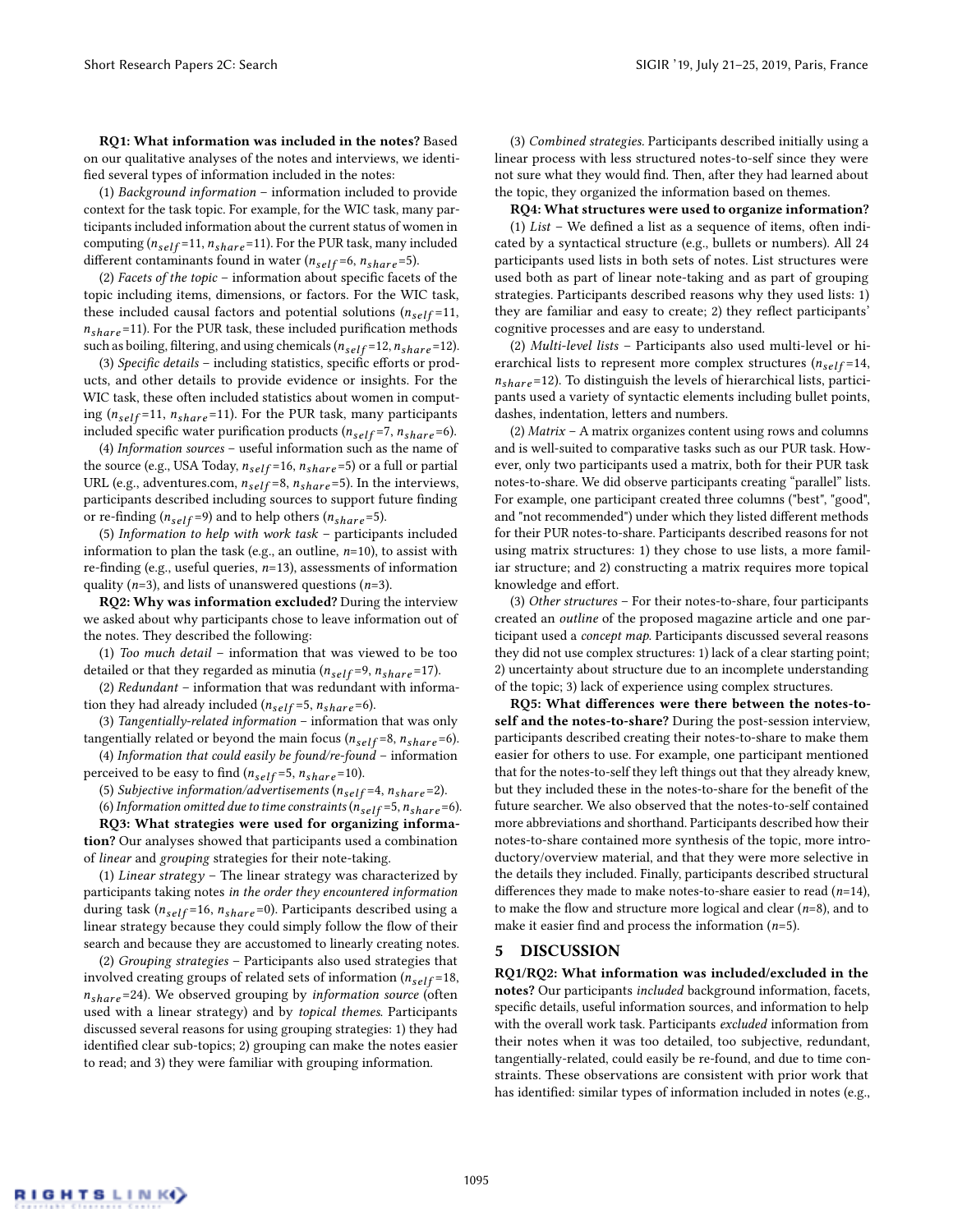RQ1: What information was included in the notes? Based on our qualitative analyses of the notes and interviews, we identified several types of information included in the notes:

(1) Background information – information included to provide context for the task topic. For example, for the WIC task, many participants included information about the current status of women in computing ( $n_{self}$ =11,  $n_{share}$ =11). For the PUR task, many included different contaminants found in water  $(n_{self} = 6, n_{share} = 5)$ .

(2) Facets of the topic – information about specific facets of the topic including items, dimensions, or factors. For the WIC task, these included causal factors and potential solutions ( $n_{self}$ =11,  $n_{share}$ =11). For the PUR task, these included purification methods such as boiling, filtering, and using chemicals ( $n_{self}$ =12,  $n_{share}$ =12).

(3) Specific details – including statistics, specific efforts or products, and other details to provide evidence or insights. For the WIC task, these often included statistics about women in computing ( $n_{self}$ =11,  $n_{share}$ =11). For the PUR task, many participants included specific water purification products ( $n_{self}$ =7,  $n_{share}$ =6).

(4) Information sources – useful information such as the name of the source (e.g., USA Today,  $n_{self}$ =16,  $n_{share}$ =5) or a full or partial URL (e.g., adventures.com,  $n_{self} = 8$ ,  $n_{share} = 5$ ). In the interviews, participants described including sources to support future finding or re-finding ( $n_{self}$ =9) and to help others ( $n_{share}$ =5).

(5) Information to help with work task – participants included information to plan the task (e.g., an outline,  $n=10$ ), to assist with re-finding (e.g., useful queries,  $n=13$ ), assessments of information quality ( $n=3$ ), and lists of unanswered questions ( $n=3$ ).

RQ2: Why was information excluded? During the interview we asked about why participants chose to leave information out of the notes. They described the following:

(1) Too much detail – information that was viewed to be too detailed or that they regarded as minutia ( $n_{self} = 9$ ,  $n_{share} = 17$ ).

(2) Redundant – information that was redundant with information they had already included ( $n_{self} = 5$ ,  $n_{share} = 6$ ).

(3) Tangentially-related information – information that was only tangentially related or beyond the main focus ( $n_{self}$ =8,  $n_{share}$ =6).

(4) Information that could easily be found/re-found – information perceived to be easy to find ( $n_{self}$ =5,  $n_{share}$ =10).

(5) Subjective information/advertisements ( $n_{self} = 4$ ,  $n_{share} = 2$ ).

(6) Information omitted due to time constraints  $(n_{self} = 5, n_{share} = 6)$ .

RQ3: What strategies were used for organizing information? Our analyses showed that participants used a combination of linear and grouping strategies for their note-taking.

(1) Linear strategy – The linear strategy was characterized by participants taking notes in the order they encountered information during task ( $n_{self}$ =16,  $n_{share}$ =0). Participants described using a linear strategy because they could simply follow the flow of their search and because they are accustomed to linearly creating notes.

(2) Grouping strategies – Participants also used strategies that involved creating groups of related sets of information ( $n_{self}$ =18,  $n_{share}$ =24). We observed grouping by *information source* (often used with a linear strategy) and by topical themes. Participants discussed several reasons for using grouping strategies: 1) they had identified clear sub-topics; 2) grouping can make the notes easier to read; and 3) they were familiar with grouping information.

(3) Combined strategies. Participants described initially using a linear process with less structured notes-to-self since they were not sure what they would find. Then, after they had learned about the topic, they organized the information based on themes.

RQ4: What structures were used to organize information?

(1) List – We defined a list as a sequence of items, often indicated by a syntactical structure (e.g., bullets or numbers). All 24 participants used lists in both sets of notes. List structures were used both as part of linear note-taking and as part of grouping strategies. Participants described reasons why they used lists: 1) they are familiar and easy to create; 2) they reflect participants' cognitive processes and are easy to understand.

(2) Multi-level lists – Participants also used multi-level or hierarchical lists to represent more complex structures  $(n_{self} = 14,$  $n_{share}$ =12). To distinguish the levels of hierarchical lists, participants used a variety of syntactic elements including bullet points, dashes, indentation, letters and numbers.

(2) Matrix – A matrix organizes content using rows and columns and is well-suited to comparative tasks such as our PUR task. However, only two participants used a matrix, both for their PUR task notes-to-share. We did observe participants creating "parallel" lists. For example, one participant created three columns ("best", "good", and "not recommended") under which they listed different methods for their PUR notes-to-share. Participants described reasons for not using matrix structures: 1) they chose to use lists, a more familiar structure; and 2) constructing a matrix requires more topical knowledge and effort.

(3) Other structures – For their notes-to-share, four participants created an outline of the proposed magazine article and one participant used a concept map. Participants discussed several reasons they did not use complex structures: 1) lack of a clear starting point; 2) uncertainty about structure due to an incomplete understanding of the topic; 3) lack of experience using complex structures.

RQ5: What differences were there between the notes-toself and the notes-to-share? During the post-session interview, participants described creating their notes-to-share to make them easier for others to use. For example, one participant mentioned that for the notes-to-self they left things out that they already knew, but they included these in the notes-to-share for the benefit of the future searcher. We also observed that the notes-to-self contained more abbreviations and shorthand. Participants described how their notes-to-share contained more synthesis of the topic, more introductory/overview material, and that they were more selective in the details they included. Finally, participants described structural differences they made to make notes-to-share easier to read  $(n=14)$ , to make the flow and structure more logical and clear  $(n=8)$ , and to make it easier find and process the information  $(n=5)$ .

## 5 DISCUSSION

RQ1/RQ2: What information was included/excluded in the notes? Our participants included background information, facets, specific details, useful information sources, and information to help with the overall work task. Participants excluded information from their notes when it was too detailed, too subjective, redundant, tangentially-related, could easily be re-found, and due to time constraints. These observations are consistent with prior work that has identified: similar types of information included in notes (e.g.,

Short Research Papers 2C: Search Signal Signal Signal Signal Signal Signal Signal Signal Signal Signal Signal Signal Signal Signal Signal Signal Signal Signal Signal Signal Signal Signal Signal Signal Signal Signal Signal